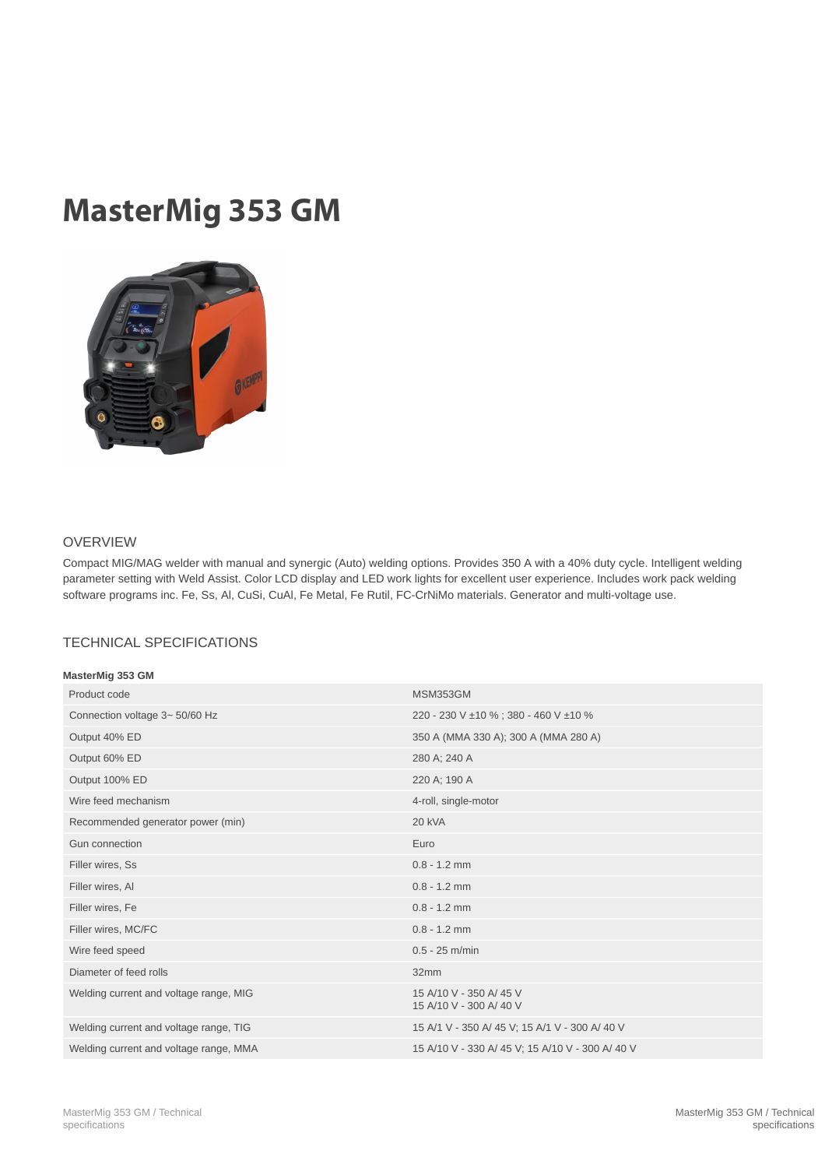## MasterMig 353 GM



## OVERVIEW

Compact MIG/MAG welder with manual and synergic (Auto) welding options. Provides 350 A with a 40% duty cycle. Intelligent welding parameter setting with Weld Assist. Color LCD display and LED work lights for excellent user experience. Includes work pack welding software programs inc. Fe, Ss, Al, CuSi, CuAl, Fe Metal, Fe Rutil, FC-CrNiMo materials. Generator and multi-voltage use.

## TECHNICAL SPECIFICATIONS

| MasterMig 353 GM                       |                                                  |
|----------------------------------------|--------------------------------------------------|
| Product code                           | <b>MSM353GM</b>                                  |
| Connection voltage 3~50/60 Hz          | 220 - 230 V ±10 %; 380 - 460 V ±10 %             |
| Output 40% ED                          | 350 A (MMA 330 A); 300 A (MMA 280 A)             |
| Output 60% ED                          | 280 A; 240 A                                     |
| Output 100% ED                         | 220 A; 190 A                                     |
| Wire feed mechanism                    | 4-roll, single-motor                             |
| Recommended generator power (min)      | 20 kVA                                           |
| Gun connection                         | Euro                                             |
| Filler wires, Ss                       | $0.8 - 1.2$ mm                                   |
| Filler wires, Al                       | $0.8 - 1.2$ mm                                   |
| Filler wires, Fe                       | $0.8 - 1.2$ mm                                   |
| Filler wires, MC/FC                    | $0.8 - 1.2$ mm                                   |
| Wire feed speed                        | $0.5 - 25$ m/min                                 |
| Diameter of feed rolls                 | 32mm                                             |
| Welding current and voltage range, MIG | 15 A/10 V - 350 A/45 V<br>15 A/10 V - 300 A/40 V |
| Welding current and voltage range, TIG | 15 A/1 V - 350 A/ 45 V; 15 A/1 V - 300 A/ 40 V   |
| Welding current and voltage range, MMA | 15 A/10 V - 330 A/ 45 V; 15 A/10 V - 300 A/ 40 V |